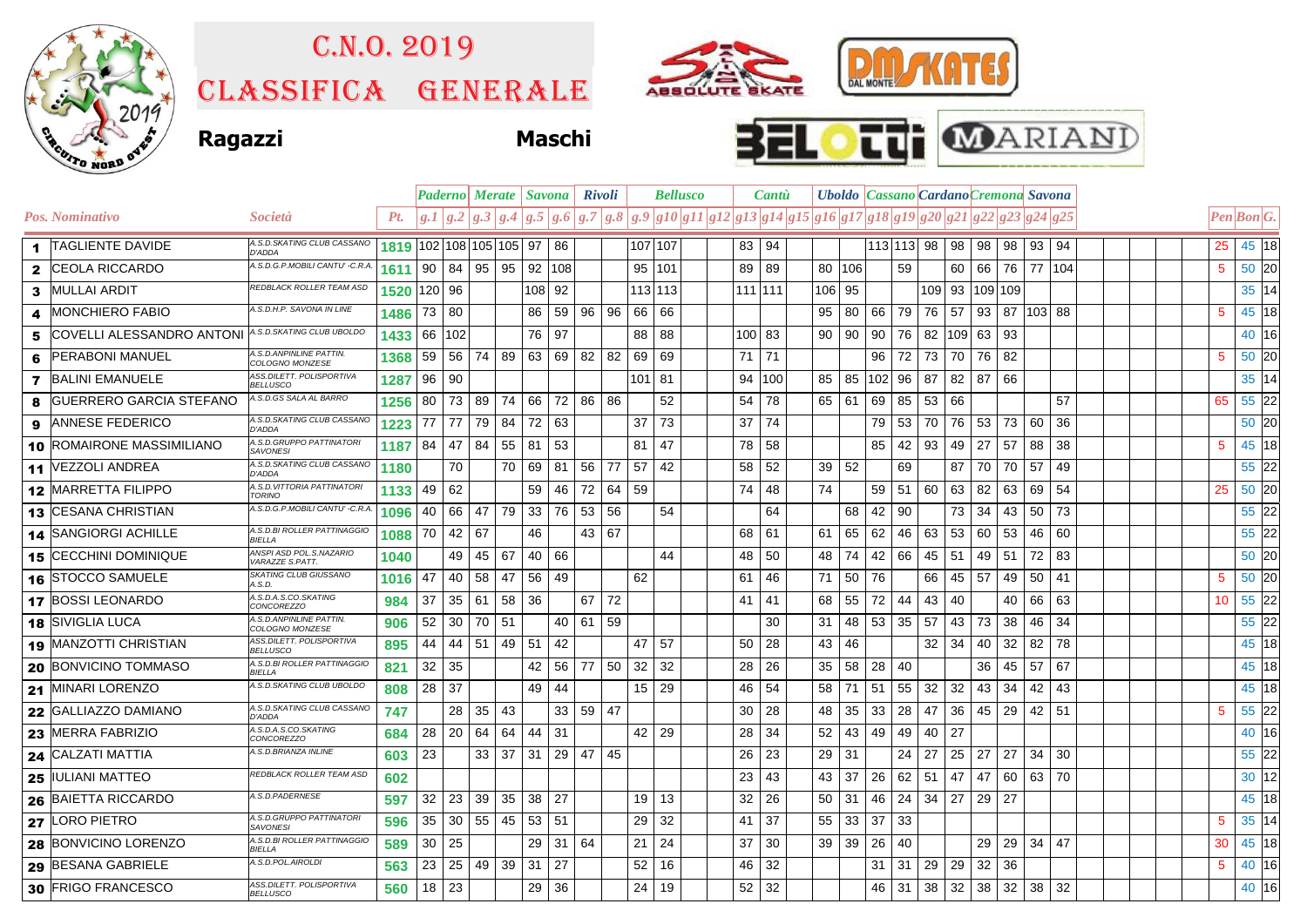

## C.n.o. 2019

Classifica generale







|              |                           |                                              | <b>Bellusco</b><br><b>Paderno</b> Merate <i>Savona</i><br><b>Rivoli</b> |     |                |                          |          |                 |       | <b>Cantu</b> |     | Uboldo   Cassano   Cardano Cremona Savona |  |         |        |                                                                        |     |     |    |            |        |                    |     |        |          |  |  |                 |            |  |
|--------------|---------------------------|----------------------------------------------|-------------------------------------------------------------------------|-----|----------------|--------------------------|----------|-----------------|-------|--------------|-----|-------------------------------------------|--|---------|--------|------------------------------------------------------------------------|-----|-----|----|------------|--------|--------------------|-----|--------|----------|--|--|-----------------|------------|--|
|              | Pos. Nominativo           | <i>Società</i>                               | Pt.                                                                     | g.I | g <sub>2</sub> | $\vert g.3 \vert$<br>g.4 | g.5      | $g_{\alpha}$    |       | g.7 g.8      |     |                                           |  |         |        | $ g.9 g10 g11 g12 g13 g14 g15 g16 g17 g18 g19 g20 g21 g22 g23 g24 g25$ |     |     |    |            |        |                    |     |        |          |  |  |                 | Pen Bon G. |  |
|              | 1  TAGLIENTE DAVIDE       | A.S.D.SKATING CLUB CASSANO<br>D'ADDA         |                                                                         |     |                | 1819 102 108 105 105 97  |          | 86              |       |              |     | 107 107                                   |  | 83 94   |        |                                                                        |     |     |    | 113 113 98 | 98     | 98                 | 98  | 93     | 94       |  |  | 25              | 45 18      |  |
| $\mathbf{2}$ | <b>CEOLA RICCARDO</b>     | A.S.D.G.P.MOBILI CANTU' -C.R.A.              | 1611                                                                    | 90  | 84             | 95<br>95                 | 92       | 108             |       |              |     | 95 101                                    |  | 89      | 89     | 80                                                                     | 106 |     | 59 |            | 60     | 66                 | 76  |        | 77   104 |  |  | 5               | 50 20      |  |
| 3.           | <b>MULLAI ARDIT</b>       | REDBLACK ROLLER TEAM ASD                     | 1520                                                                    | 120 | 96             |                          | 1081     | 92              |       |              |     | 113 113                                   |  | 111 111 |        | 106                                                                    | 95  |     |    |            | 109 93 | 109 109            |     |        |          |  |  |                 | 35 14      |  |
| 4            | <b>MONCHIERO FABIO</b>    | A.S.D.H.P. SAVONA IN LINE                    | 1486                                                                    | 73  | 80             |                          | 86       | 59              | 96    | 96           | 66  | 66                                        |  |         |        | 95                                                                     | 80  | 66  | 79 | 76 57      |        | 93                 | 87  | 103 88 |          |  |  | 5               | 45 18      |  |
| 5            | COVELLI ALESSANDRO ANTONI | A.S.D.SKATING CLUB UBOLDO                    | 1433                                                                    | 66  | 102            |                          | 76       | 97              |       |              | 88  | 88                                        |  | 100 83  |        | 90                                                                     | 90  | 90  | 76 |            |        | 82   109   63   93 |     |        |          |  |  |                 | 40 16      |  |
| 6            | <b>PERABONI MANUEL</b>    | A.S.D.ANPINLINE PATTIN.<br>COLOGNO MONZESE   | 1368                                                                    | 59  | 56             | 74                       | 89 63    | 69              | 82    | 82           | 69  | 69                                        |  | 71 71   |        |                                                                        |     | 96  | 72 | 73         | 70     | 76                 | 82  |        |          |  |  | 5               | 50 20      |  |
| $\mathbf{7}$ | <b>BALINI EMANUELE</b>    | ASS.DILETT. POLISPORTIVA<br><b>BELLUSCO</b>  | 1287                                                                    | 96  | 90             |                          |          |                 |       |              | 101 | 81                                        |  |         | 94 100 | 85                                                                     | 85  | 102 | 96 | 87         | 82     | 87                 | 66  |        |          |  |  |                 | 35 14      |  |
| 8            | GUERRERO GARCIA STEFANO   | A.S.D.GS SALA AL BARRO                       | 1256                                                                    | 80  | 73             | 89<br>74                 | 66       | 72              | 86    | - 86         |     | 52                                        |  | 54      | 78     | 65                                                                     | 61  | 69  | 85 | 53 66      |        |                    |     |        | 57       |  |  | 65              | 55 22      |  |
| 9            | <b>ANNESE FEDERICO</b>    | A.S.D.SKATING CLUB CASSANO<br><b>D'ADDA</b>  | 1223                                                                    | 77  | 77             | 79<br>84                 | 72       | 63              |       |              | 37  | 73                                        |  | 37      | 74     |                                                                        |     | 79  | 53 | 70         | 76     | 53                 | 73  | 60     | 36       |  |  |                 | 50 20      |  |
| 10.          | ROMAIRONE MASSIMILIANO    | A.S.D.GRUPPO PATTINATORI<br><b>SAVONESI</b>  | 1187                                                                    | 84  | 47             | 84<br>55                 | 81       | 53              |       |              | 81  | 47                                        |  | 78      | 58     |                                                                        |     | 85  | 42 | 93         | 49     | 27                 | -57 | 88     | 38       |  |  | 5               | 45 18      |  |
|              | 11 VEZZOLI ANDREA         | A.S.D.SKATING CLUB CASSANO<br><b>D'ADDA</b>  | 1180                                                                    |     | 70             |                          | 70<br>69 | 81              | 56    | 77           | 57  | 42                                        |  | 58      | 52     | 39                                                                     | 52  |     | 69 |            | 87     | 70                 | 70  | 57     | 49       |  |  |                 | 55 22      |  |
|              | 12 MARRETTA FILIPPO       | A.S.D. VITTORIA PATTINATORI<br><b>TORINO</b> | 1133                                                                    | 49  | 62             |                          | 59       | 46              | 72    | 64           | 59  |                                           |  | 74      | 48     | 74                                                                     |     | 59  | 51 | 60         | 63     | 82                 | 63  | 69     | 54       |  |  | 25              | 50 20      |  |
|              | 13 CESANA CHRISTIAN       | A.S.D.G.P.MOBILI CANTU' -C.R.A               | 1096                                                                    | 40  | 66             | 79<br>47                 | 33       | 76              | 53    | 56           |     | 54                                        |  |         | 64     |                                                                        | 68  | 42  | 90 |            | 73     | 34                 | 43  | 50     | 73       |  |  |                 | 55 22      |  |
|              | 14 SANGIORGI ACHILLE      | A.S.D.BI ROLLER PATTINAGGIO<br><b>BIFLLA</b> | 1088                                                                    | 70  | 42             | 67                       | 46       |                 | 43    | 67           |     |                                           |  | 68      | 61     | 61                                                                     | 65  | 62  | 46 | 63         | 53     | 60                 | 53  | 46     | 60       |  |  |                 | 55 22      |  |
|              | 15 CECCHINI DOMINIQUE     | ANSPI ASD POL.S.NAZARIO<br>VARAZZE S.PATT.   | 1040                                                                    |     | 49             | 45<br>67                 | 40       | 66              |       |              |     | 44                                        |  | 48      | 50     | 48                                                                     | 74  | 42  | 66 | 45         | 51     | 49                 | -51 | 72     | 83       |  |  |                 | 50 20      |  |
|              | 16 STOCCO SAMUELE         | SKATING CLUB GIUSSANO<br>4.S.D.              | 1016                                                                    | 47  | 40             | 58<br>47                 | 56       | 49              |       |              | 62  |                                           |  | 61      | 46     | 71                                                                     | 50  | 76  |    | 66         | 45     | 57                 | 49  | 50     | 41       |  |  | 5               | 50 20      |  |
|              | 17 BOSSI LEONARDO         | A.S.D.A.S.CO.SKATING<br>CONCOREZZO           | 984                                                                     | 37  | 35             | 61<br>58                 | 36       |                 | 67    | 72           |     |                                           |  | 41      | -41    | 68                                                                     | 55  | 72  | 44 | 43         | 40     |                    | 40  | 66     | 63       |  |  | 10 <sup>°</sup> | 55 22      |  |
|              | 18 SIVIGLIA LUCA          | A.S.D. ANPINLINE PATTIN.<br>COLOGNO MONZESE  | 906                                                                     | 52  | 30             | 70<br>51                 |          | 40              | 61    | 59           |     |                                           |  |         | 30     | 31                                                                     | 48  | 53  | 35 | 57         | 43     | 73                 | 38  | 46     | 34       |  |  |                 | 55 22      |  |
|              | 19 MANZOTTI CHRISTIAN     | ASS.DILETT. POLISPORTIVA<br><b>BELLUSCO</b>  | 895                                                                     | 44  | 44             | 51<br>49                 | 51       | 42              |       |              | 47  | 57                                        |  | 50      | 28     | 43                                                                     | 46  |     |    | 32         | 34     | 40                 | 32  | 82     | 78       |  |  |                 | 45 18      |  |
|              | 20 BONVICINO TOMMASO      | A.S.D.BI ROLLER PATTINAGGIO<br>BIELLA        | 821                                                                     | 32  | 35             |                          | 42       | 56              | 77    | 50           | 32  | 32                                        |  | 28      | 26     | 35                                                                     | 58  | 28  | 40 |            |        | 36                 | 45  | 57     | 67       |  |  |                 | 45 18      |  |
|              | 21 MINARI LORENZO         | 4.S.D.SKATING CLUB UBOLDO                    | 808                                                                     | 28  | 37             |                          | 49       | 44              |       |              | 15  | 29                                        |  | 46      | 54     | 58                                                                     | 71  | 51  | 55 | 32         | 32     | 43                 | 34  | 42     | 43       |  |  |                 | 45 18      |  |
| 22           | <b>GALLIAZZO DAMIANO</b>  | A.S.D.SKATING CLUB CASSANO<br>D'ADDA         | 747                                                                     |     | 28             | 35<br>43                 |          | 33 <sup>l</sup> | 59 47 |              |     |                                           |  | 30      | 28     | 48                                                                     | 35  | 33  | 28 | 47         | 36     | 45                 | -29 | 42     | -51      |  |  | 5               | 55 22      |  |
|              | 23 MERRA FABRIZIO         | A.S.D.A.S.CO.SKATING<br>CONCOREZZO           | 684                                                                     | 28  | 20             | 64<br>64                 | 44       | 31              |       |              | 42  | 29                                        |  | 28      | 34     | 52                                                                     | 43  | 49  | 49 | 40         | 27     |                    |     |        |          |  |  |                 | 40 16      |  |
|              | 24 CALZATI MATTIA         | A.S.D.BRIANZA INLINE                         | 603                                                                     | 23  |                | 33<br>37                 | 31       | 29              | 47    | 45           |     |                                           |  | 26      | 23     | 29                                                                     | -31 |     | 24 | 27         | 25     | 27                 | 27  | 34     | 30       |  |  |                 | 55 22      |  |
|              | 25 IULIANI MATTEO         | REDBLACK ROLLER TEAM ASD                     | 602                                                                     |     |                |                          |          |                 |       |              |     |                                           |  | 23      | 43     | 43                                                                     | 37  | 26  | 62 | 51         | 47     | 47                 | -60 | 63     | 70       |  |  |                 | $30$ 12    |  |
|              | 26 BAIETTA RICCARDO       | A.S.D.PADERNESE                              | 597                                                                     | 32  | 23             | 39<br>35                 | 38       | 27              |       |              | 19  | 13                                        |  | 32      | 26     | 50                                                                     | 31  | 46  | 24 | 34         | 27     | 29 27              |     |        |          |  |  |                 | 45 18      |  |
|              | 27 LORO PIETRO            | A.S.D.GRUPPO PATTINATORI<br><b>SAVONESI</b>  | 596                                                                     | 35  | 30             | 55<br>45                 | 53       | 51              |       |              | 29  | 32                                        |  | 41      | 37     | 55                                                                     | 33  | 37  | 33 |            |        |                    |     |        |          |  |  | 5               | 35 14      |  |
|              | 28 BONVICINO LORENZO      | A.S.D.BI ROLLER PATTINAGGIO<br>BIELLA        | 589                                                                     | 30  | 25             |                          | 29       | 31              | 64    |              | 21  | 24                                        |  | 37      | 30     | 39                                                                     | 39  | 26  | 40 |            |        | 29                 | 29  | 34     | 47       |  |  | 30              | 45 18      |  |
|              | 29 BESANA GABRIELE        | A.S.D.POL.AIROLDI                            | 563                                                                     | 23  | 25             | 49<br>39                 | 31       | 27              |       |              | 52  | 16                                        |  | 46      | 32     |                                                                        |     | 31  | 31 | 29         | 29     | 32                 | 36  |        |          |  |  | 5               | 40 16      |  |
|              | 30 FRIGO FRANCESCO        | ASS.DILETT. POLISPORTIVA<br><b>BELLUSCO</b>  | 560                                                                     | 18  | 23             |                          | 29       | 36              |       |              | 24  | 19                                        |  | 52      | 32     |                                                                        |     | 46  | 31 | 38         | 32     | 38                 | 32  | 38     | 32       |  |  |                 | 40 16      |  |